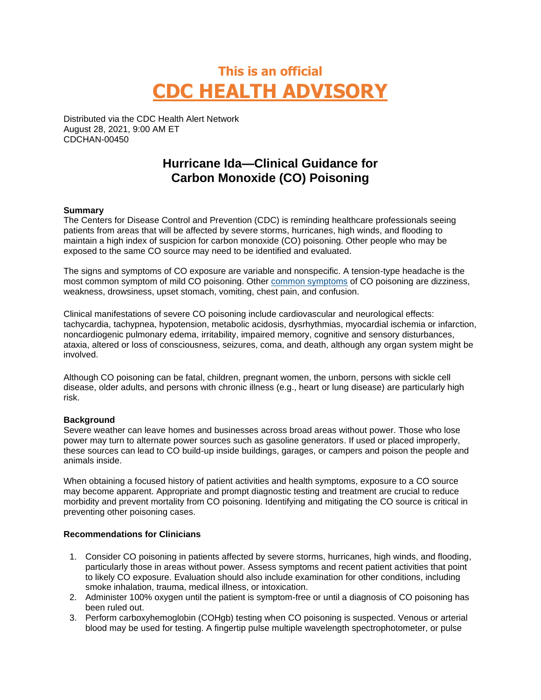# **This is an official CDC HEALTH ADVISORY**

Distributed via the CDC Health Alert Network August 28, 2021, 9:00 AM ET CDCHAN-00450

## **Hurricane Ida—Clinical Guidance for Carbon Monoxide (CO) Poisoning**

#### **Summary**

The Centers for Disease Control and Prevention (CDC) is reminding healthcare professionals seeing patients from areas that will be affected by severe storms, hurricanes, high winds, and flooding to maintain a high index of suspicion for carbon monoxide (CO) poisoning. Other people who may be exposed to the same CO source may need to be identified and evaluated.

The signs and symptoms of CO exposure are variable and nonspecific. A tension-type headache is the most common symptom of mild CO poisoning. Other [common symptoms](https://www.cdc.gov/co/faqs.htm) of CO poisoning are dizziness, weakness, drowsiness, upset stomach, vomiting, chest pain, and confusion.

Clinical manifestations of severe CO poisoning include cardiovascular and neurological effects: tachycardia, tachypnea, hypotension, metabolic acidosis, dysrhythmias, myocardial ischemia or infarction, noncardiogenic pulmonary edema, irritability, impaired memory, cognitive and sensory disturbances, ataxia, altered or loss of consciousness, seizures, coma, and death, although any organ system might be involved.

Although CO poisoning can be fatal, children, pregnant women, the unborn, persons with sickle cell disease, older adults, and persons with chronic illness (e.g., heart or lung disease) are particularly high risk.

### **Background**

Severe weather can leave homes and businesses across broad areas without power. Those who lose power may turn to alternate power sources such as gasoline generators. If used or placed improperly, these sources can lead to CO build-up inside buildings, garages, or campers and poison the people and animals inside.

When obtaining a focused history of patient activities and health symptoms, exposure to a CO source may become apparent. Appropriate and prompt diagnostic testing and treatment are crucial to reduce morbidity and prevent mortality from CO poisoning. Identifying and mitigating the CO source is critical in preventing other poisoning cases.

#### **Recommendations for Clinicians**

- 1. Consider CO poisoning in patients affected by severe storms, hurricanes, high winds, and flooding, particularly those in areas without power. Assess symptoms and recent patient activities that point to likely CO exposure. Evaluation should also include examination for other conditions, including smoke inhalation, trauma, medical illness, or intoxication.
- 2. Administer 100% oxygen until the patient is symptom-free or until a diagnosis of CO poisoning has been ruled out.
- 3. Perform carboxyhemoglobin (COHgb) testing when CO poisoning is suspected. Venous or arterial blood may be used for testing. A fingertip pulse multiple wavelength spectrophotometer, or pulse